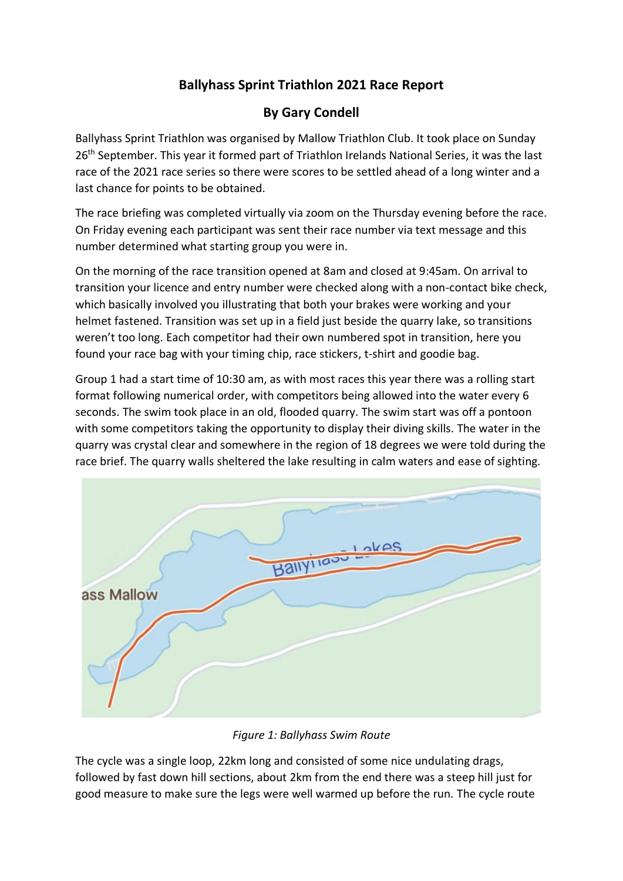## **Ballyhass Sprint Triathlon 2021 Race Report**

## **By Gary Condell**

Ballyhass Sprint Triathlon was organised by Mallow Triathlon Club. It took place on Sunday 26<sup>th</sup> September. This year it formed part of Triathlon Irelands National Series, it was the last race of the 2021 race series so there were scores to be settled ahead of a long winter and a last chance for points to be obtained.

The race briefing was completed virtually via zoom on the Thursday evening before the race. On Friday evening each participant was sent their race number via text message and this number determined what starting group you were in.

On the morning of the race transition opened at 8am and closed at 9:45am. On arrival to transition your licence and entry number were checked along with a non-contact bike check, which basically involved you illustrating that both your brakes were working and your helmet fastened. Transition was set up in a field just beside the quarry lake, so transitions weren't too long. Each competitor had their own numbered spot in transition, here you found your race bag with your timing chip, race stickers, t-shirt and goodie bag.

Group 1 had a start time of 10:30 am, as with most races this year there was a rolling start format following numerical order, with competitors being allowed into the water every 6 seconds. The swim took place in an old, flooded quarry. The swim start was off a pontoon with some competitors taking the opportunity to display their diving skills. The water in the quarry was crystal clear and somewhere in the region of 18 degrees we were told during the race brief. The quarry walls sheltered the lake resulting in calm waters and ease of sighting.



*Figure 1: Ballyhass Swim Route*

The cycle was a single loop, 22km long and consisted of some nice undulating drags, followed by fast down hill sections, about 2km from the end there was a steep hill just for good measure to make sure the legs were well warmed up before the run. The cycle route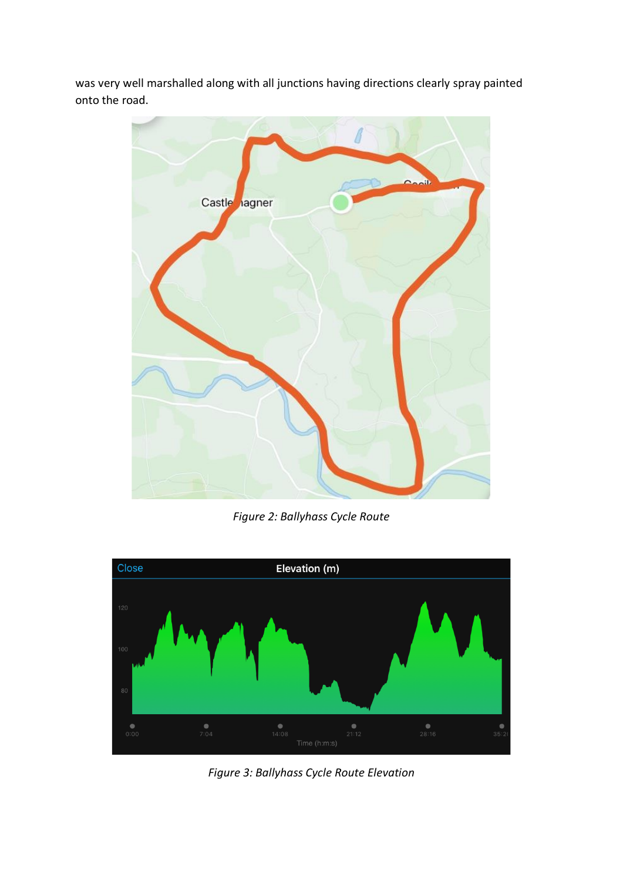was very well marshalled along with all junctions having directions clearly spray painted onto the road.



*Figure 2: Ballyhass Cycle Route*



*Figure 3: Ballyhass Cycle Route Elevation*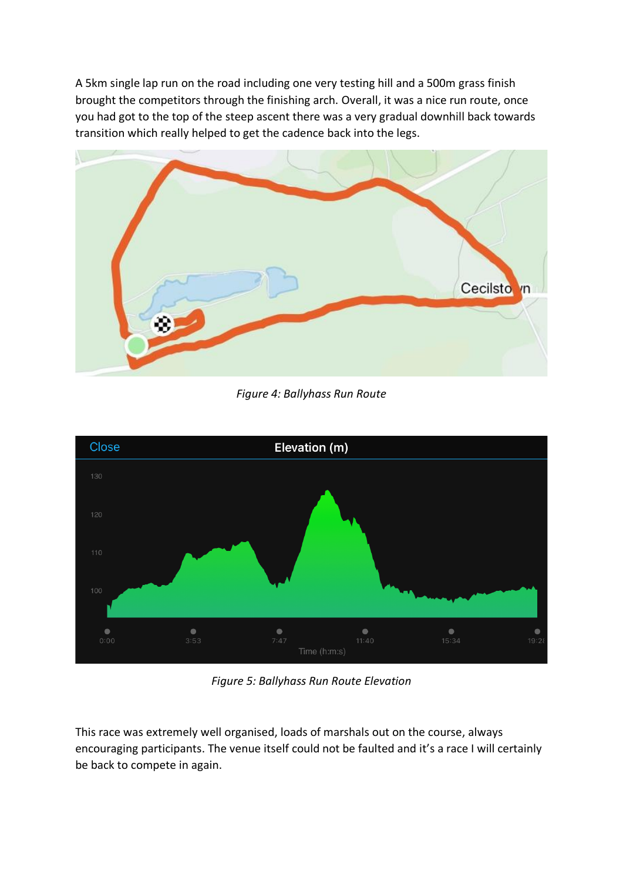A 5km single lap run on the road including one very testing hill and a 500m grass finish brought the competitors through the finishing arch. Overall, it was a nice run route, once you had got to the top of the steep ascent there was a very gradual downhill back towards transition which really helped to get the cadence back into the legs.



*Figure 4: Ballyhass Run Route*



*Figure 5: Ballyhass Run Route Elevation*

This race was extremely well organised, loads of marshals out on the course, always encouraging participants. The venue itself could not be faulted and it's a race I will certainly be back to compete in again.